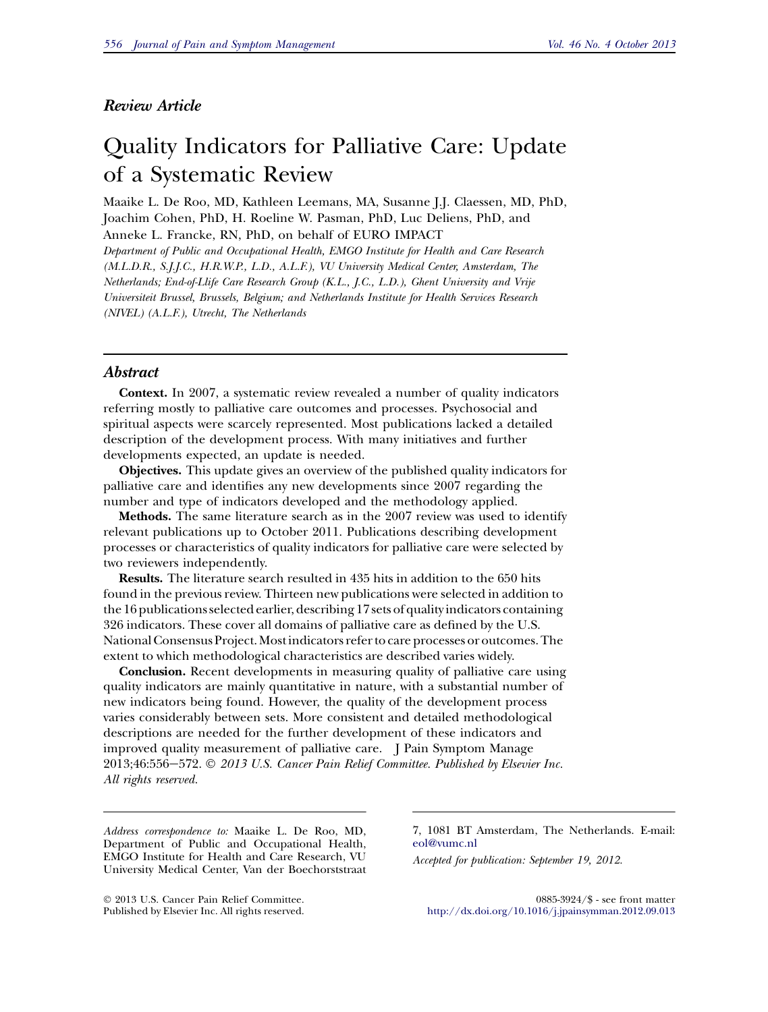## Review Article

# Quality Indicators for Palliative Care: Update of a Systematic Review

Maaike L. De Roo, MD, Kathleen Leemans, MA, Susanne J.J. Claessen, MD, PhD, Joachim Cohen, PhD, H. Roeline W. Pasman, PhD, Luc Deliens, PhD, and Anneke L. Francke, RN, PhD, on behalf of EURO IMPACT

Department of Public and Occupational Health, EMGO Institute for Health and Care Research (M.L.D.R., S.J.J.C., H.R.W.P., L.D., A.L.F.), VU University Medical Center, Amsterdam, The Netherlands; End-of-Llife Care Research Group (K.L., J.C., L.D.), Ghent University and Vrije Universiteit Brussel, Brussels, Belgium; and Netherlands Institute for Health Services Research (NIVEL) (A.L.F.), Utrecht, The Netherlands

## Abstract

Context. In 2007, a systematic review revealed a number of quality indicators referring mostly to palliative care outcomes and processes. Psychosocial and spiritual aspects were scarcely represented. Most publications lacked a detailed description of the development process. With many initiatives and further developments expected, an update is needed.

Objectives. This update gives an overview of the published quality indicators for palliative care and identifies any new developments since 2007 regarding the number and type of indicators developed and the methodology applied.

Methods. The same literature search as in the 2007 review was used to identify relevant publications up to October 2011. Publications describing development processes or characteristics of quality indicators for palliative care were selected by two reviewers independently.

Results. The literature search resulted in 435 hits in addition to the 650 hits found in the previous review. Thirteen new publications were selected in addition to the 16 publications selected earlier, describing 17 sets of quality indicators containing 326 indicators. These cover all domains of palliative care as defined by the U.S. National Consensus Project.Most indicators refer to care processes or outcomes. The extent to which methodological characteristics are described varies widely.

Conclusion. Recent developments in measuring quality of palliative care using quality indicators are mainly quantitative in nature, with a substantial number of new indicators being found. However, the quality of the development process varies considerably between sets. More consistent and detailed methodological descriptions are needed for the further development of these indicators and improved quality measurement of palliative care. J Pain Symptom Manage 2013;46:556-572.  $\odot$  2013 U.S. Cancer Pain Relief Committee. Published by Elsevier Inc. All rights reserved.

Address correspondence to: Maaike L. De Roo, MD, Department of Public and Occupational Health, EMGO Institute for Health and Care Research, VU University Medical Center, Van der Boechorststraat

 2013 U.S. Cancer Pain Relief Committee. Published by Elsevier Inc. All rights reserved. 7, 1081 BT Amsterdam, The Netherlands. E-mail: [eol@vumc.nl](mailto:eol@vumc.nl) Accepted for publication: September 19, 2012.

0885-3924/\$ - see front matter <http://dx.doi.org/10.1016/j.jpainsymman.2012.09.013>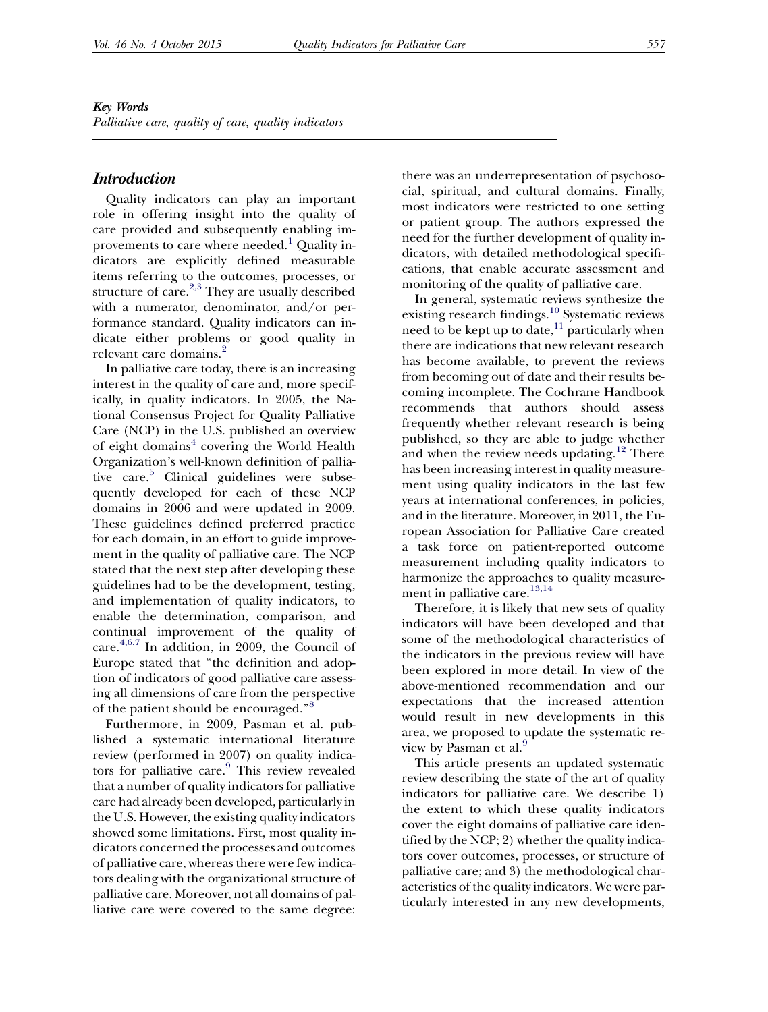#### Key Words

Palliative care, quality of care, quality indicators

## Introduction

Quality indicators can play an important role in offering insight into the quality of care provided and subsequently enabling im-provements to care where needed.<sup>[1](#page-14-0)</sup> Quality indicators are explicitly defined measurable items referring to the outcomes, processes, or structure of care. $2,3$  They are usually described with a numerator, denominator, and/or performance standard. Quality indicators can indicate either problems or good quality in relevant care domains.<sup>[2](#page-14-0)</sup>

In palliative care today, there is an increasing interest in the quality of care and, more specifically, in quality indicators. In 2005, the National Consensus Project for Quality Palliative Care (NCP) in the U.S. published an overview of eight domains<sup>[4](#page-14-0)</sup> covering the World Health Organization's well-known definition of palliative care. $5$  Clinical guidelines were subsequently developed for each of these NCP domains in 2006 and were updated in 2009. These guidelines defined preferred practice for each domain, in an effort to guide improvement in the quality of palliative care. The NCP stated that the next step after developing these guidelines had to be the development, testing, and implementation of quality indicators, to enable the determination, comparison, and continual improvement of the quality of care.[4,6,7](#page-14-0) In addition, in 2009, the Council of Europe stated that ''the definition and adoption of indicators of good palliative care assessing all dimensions of care from the perspective of the patient should be encouraged.'['8](#page-14-0)

Furthermore, in 2009, Pasman et al. published a systematic international literature review (performed in 2007) on quality indica-tors for palliative care.<sup>[9](#page-14-0)</sup> This review revealed that a number of quality indicators for palliative care had already been developed, particularly in the U.S. However, the existing quality indicators showed some limitations. First, most quality indicators concerned the processes and outcomes of palliative care, whereas there were few indicators dealing with the organizational structure of palliative care. Moreover, not all domains of palliative care were covered to the same degree:

there was an underrepresentation of psychosocial, spiritual, and cultural domains. Finally, most indicators were restricted to one setting or patient group. The authors expressed the need for the further development of quality indicators, with detailed methodological specifications, that enable accurate assessment and monitoring of the quality of palliative care.

In general, systematic reviews synthesize the existing research findings.<sup>[10](#page-14-0)</sup> Systematic reviews need to be kept up to date,<sup>[11](#page-14-0)</sup> particularly when there are indications that new relevant research has become available, to prevent the reviews from becoming out of date and their results becoming incomplete. The Cochrane Handbook recommends that authors should assess frequently whether relevant research is being published, so they are able to judge whether and when the review needs updating.<sup>[12](#page-14-0)</sup> There has been increasing interest in quality measurement using quality indicators in the last few years at international conferences, in policies, and in the literature. Moreover, in 2011, the European Association for Palliative Care created a task force on patient-reported outcome measurement including quality indicators to harmonize the approaches to quality measure-ment in palliative care.<sup>[13,14](#page-14-0)</sup>

Therefore, it is likely that new sets of quality indicators will have been developed and that some of the methodological characteristics of the indicators in the previous review will have been explored in more detail. In view of the above-mentioned recommendation and our expectations that the increased attention would result in new developments in this area, we proposed to update the systematic re-view by Pasman et al.<sup>[9](#page-14-0)</sup>

This article presents an updated systematic review describing the state of the art of quality indicators for palliative care. We describe 1) the extent to which these quality indicators cover the eight domains of palliative care identified by the NCP; 2) whether the quality indicators cover outcomes, processes, or structure of palliative care; and 3) the methodological characteristics of the quality indicators. We were particularly interested in any new developments,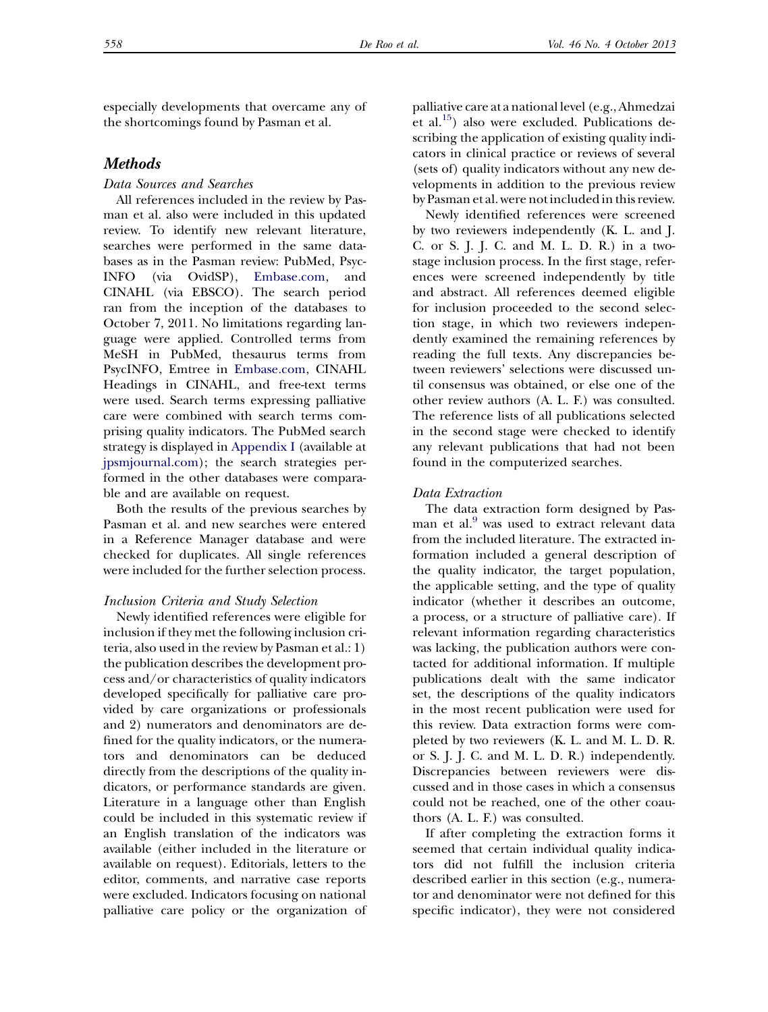especially developments that overcame any of the shortcomings found by Pasman et al.

# **Methods**

## Data Sources and Searches

All references included in the review by Pasman et al. also were included in this updated review. To identify new relevant literature, searches were performed in the same databases as in the Pasman review: PubMed, Psyc-INFO (via OvidSP), [Embase.com,](http://Embase.com) and CINAHL (via EBSCO). The search period ran from the inception of the databases to October 7, 2011. No limitations regarding language were applied. Controlled terms from MeSH in PubMed, thesaurus terms from PsycINFO, Emtree in [Embase.com,](http://Embase.com) CINAHL Headings in CINAHL, and free-text terms were used. Search terms expressing palliative care were combined with search terms comprising quality indicators. The PubMed search strategy is displayed in Appendix I (available at [jpsmjournal.com\)](http://jpsmjournal.com); the search strategies performed in the other databases were comparable and are available on request.

Both the results of the previous searches by Pasman et al. and new searches were entered in a Reference Manager database and were checked for duplicates. All single references were included for the further selection process.

## Inclusion Criteria and Study Selection

Newly identified references were eligible for inclusion if they met the following inclusion criteria, also used in the review by Pasman et al.: 1) the publication describes the development process and/or characteristics of quality indicators developed specifically for palliative care provided by care organizations or professionals and 2) numerators and denominators are defined for the quality indicators, or the numerators and denominators can be deduced directly from the descriptions of the quality indicators, or performance standards are given. Literature in a language other than English could be included in this systematic review if an English translation of the indicators was available (either included in the literature or available on request). Editorials, letters to the editor, comments, and narrative case reports were excluded. Indicators focusing on national palliative care policy or the organization of palliative care at a national level (e.g., Ahmedzai et al.<sup>15</sup>) also were excluded. Publications describing the application of existing quality indicators in clinical practice or reviews of several (sets of) quality indicators without any new developments in addition to the previous review by Pasman et al. were not included in this review.

Newly identified references were screened by two reviewers independently (K. L. and J. C. or S. J. J. C. and M. L. D. R.) in a twostage inclusion process. In the first stage, references were screened independently by title and abstract. All references deemed eligible for inclusion proceeded to the second selection stage, in which two reviewers independently examined the remaining references by reading the full texts. Any discrepancies between reviewers' selections were discussed until consensus was obtained, or else one of the other review authors (A. L. F.) was consulted. The reference lists of all publications selected in the second stage were checked to identify any relevant publications that had not been found in the computerized searches.

## Data Extraction

The data extraction form designed by Pas-man et al.<sup>[9](#page-14-0)</sup> was used to extract relevant data from the included literature. The extracted information included a general description of the quality indicator, the target population, the applicable setting, and the type of quality indicator (whether it describes an outcome, a process, or a structure of palliative care). If relevant information regarding characteristics was lacking, the publication authors were contacted for additional information. If multiple publications dealt with the same indicator set, the descriptions of the quality indicators in the most recent publication were used for this review. Data extraction forms were completed by two reviewers (K. L. and M. L. D. R. or S. J. J. C. and M. L. D. R.) independently. Discrepancies between reviewers were discussed and in those cases in which a consensus could not be reached, one of the other coauthors (A. L. F.) was consulted.

If after completing the extraction forms it seemed that certain individual quality indicators did not fulfill the inclusion criteria described earlier in this section (e.g., numerator and denominator were not defined for this specific indicator), they were not considered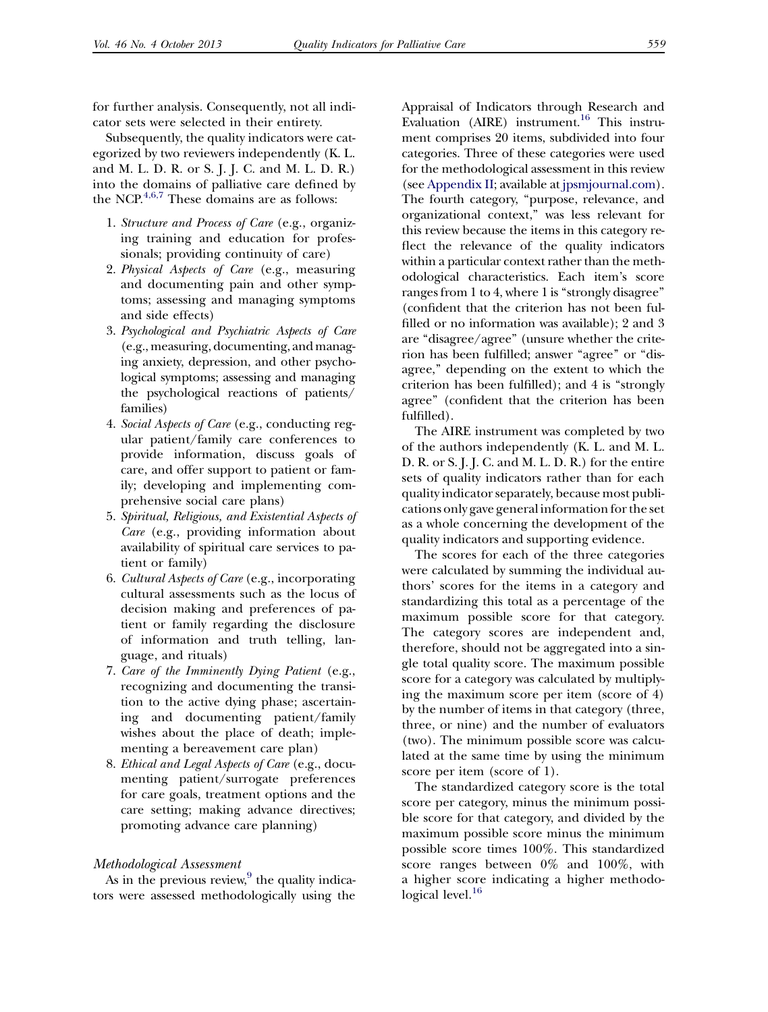for further analysis. Consequently, not all indicator sets were selected in their entirety.

Subsequently, the quality indicators were categorized by two reviewers independently (K. L. and M. L. D. R. or S. J. J. C. and M. L. D. R.) into the domains of palliative care defined by the NCP. $4,6,7$  These domains are as follows:

- 1. Structure and Process of Care (e.g., organizing training and education for professionals; providing continuity of care)
- 2. Physical Aspects of Care (e.g., measuring and documenting pain and other symptoms; assessing and managing symptoms and side effects)
- 3. Psychological and Psychiatric Aspects of Care (e.g., measuring, documenting, and managing anxiety, depression, and other psychological symptoms; assessing and managing the psychological reactions of patients/ families)
- 4. Social Aspects of Care (e.g., conducting regular patient/family care conferences to provide information, discuss goals of care, and offer support to patient or family; developing and implementing comprehensive social care plans)
- 5. Spiritual, Religious, and Existential Aspects of Care (e.g., providing information about availability of spiritual care services to patient or family)
- 6. Cultural Aspects of Care (e.g., incorporating cultural assessments such as the locus of decision making and preferences of patient or family regarding the disclosure of information and truth telling, language, and rituals)
- 7. Care of the Imminently Dying Patient (e.g., recognizing and documenting the transition to the active dying phase; ascertaining and documenting patient/family wishes about the place of death; implementing a bereavement care plan)
- 8. Ethical and Legal Aspects of Care (e.g., documenting patient/surrogate preferences for care goals, treatment options and the care setting; making advance directives; promoting advance care planning)

#### Methodological Assessment

As in the previous review, $9$  the quality indicators were assessed methodologically using the

Appraisal of Indicators through Research and Evaluation (AIRE) instrument.<sup>[16](#page-15-0)</sup> This instrument comprises 20 items, subdivided into four categories. Three of these categories were used for the methodological assessment in this review (see Appendix II; available at [jpsmjournal.com](http://jpsmjournal.com)). The fourth category, "purpose, relevance, and organizational context,'' was less relevant for this review because the items in this category reflect the relevance of the quality indicators within a particular context rather than the methodological characteristics. Each item's score ranges from 1 to 4, where 1 is "strongly disagree" (confident that the criterion has not been fulfilled or no information was available); 2 and 3 are "disagree/agree" (unsure whether the criterion has been fulfilled; answer "agree" or "disagree,'' depending on the extent to which the criterion has been fulfilled); and 4 is ''strongly agree'' (confident that the criterion has been fulfilled).

The AIRE instrument was completed by two of the authors independently (K. L. and M. L. D. R. or S. J. J. C. and M. L. D. R.) for the entire sets of quality indicators rather than for each quality indicator separately, because most publications only gave general information for the set as a whole concerning the development of the quality indicators and supporting evidence.

The scores for each of the three categories were calculated by summing the individual authors' scores for the items in a category and standardizing this total as a percentage of the maximum possible score for that category. The category scores are independent and, therefore, should not be aggregated into a single total quality score. The maximum possible score for a category was calculated by multiplying the maximum score per item (score of 4) by the number of items in that category (three, three, or nine) and the number of evaluators (two). The minimum possible score was calculated at the same time by using the minimum score per item (score of 1).

The standardized category score is the total score per category, minus the minimum possible score for that category, and divided by the maximum possible score minus the minimum possible score times 100%. This standardized score ranges between 0% and 100%, with a higher score indicating a higher methodological level. $16$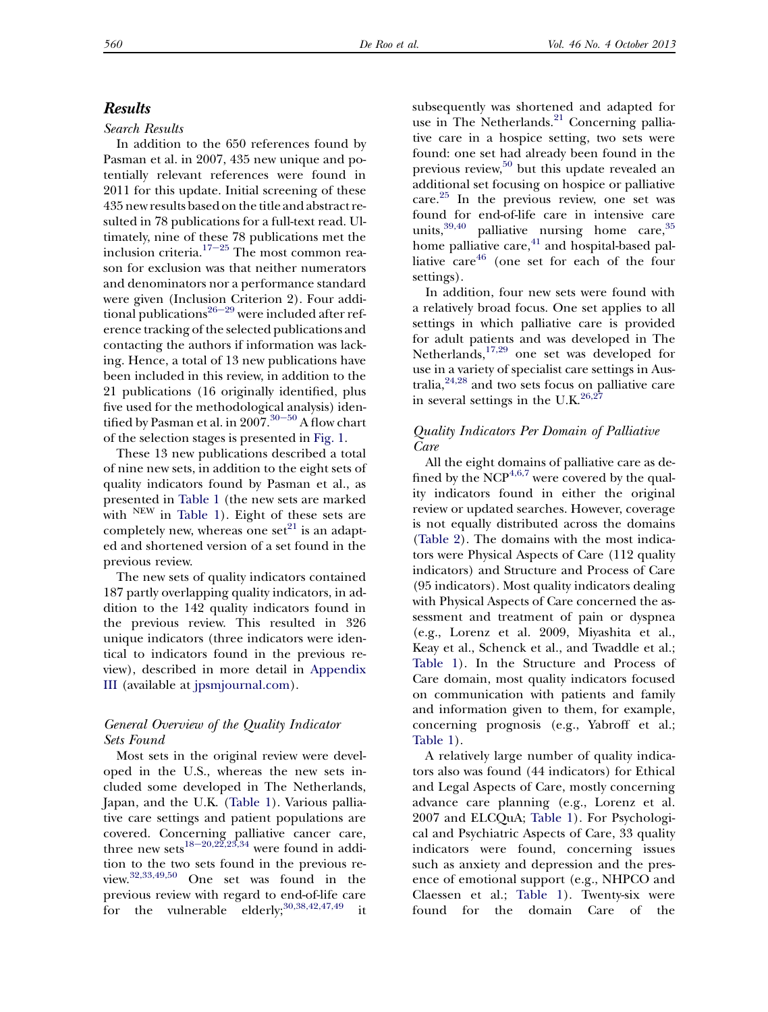#### Results

#### Search Results

In addition to the 650 references found by Pasman et al. in 2007, 435 new unique and potentially relevant references were found in 2011 for this update. Initial screening of these 435 new results based on the title and abstract resulted in 78 publications for a full-text read. Ultimately, nine of these 78 publications met the inclusion criteria. $17-25$  The most common reason for exclusion was that neither numerators and denominators nor a performance standard were given (Inclu[sion C](#page-15-0)riterion 2). Four additional publications $26-29$  were included after reference tracking of the selected publications and contacting the authors if information was lacking. Hence, a total of 13 new publications have been included in this review, in addition to the 21 publications (16 originally identified, plus five used for the methodologi[cal an](#page-15-0)alysis) identified by Pasman et al. in 2007. $30-50$  A flow chart of the selection stages is presented in [Fig. 1](#page-5-0).

These 13 new publications described a total of nine new sets, in addition to the eight sets of quality indicators found by Pasman et al., as presented in [Table 1](#page-6-0) (the new sets are marked with  $NEW$  in [Table 1](#page-6-0)). Eight of these sets are completely new, whereas one  $set^{21}$  $set^{21}$  $set^{21}$  is an adapted and shortened version of a set found in the previous review.

The new sets of quality indicators contained 187 partly overlapping quality indicators, in addition to the 142 quality indicators found in the previous review. This resulted in 326 unique indicators (three indicators were identical to indicators found in the previous review), described in more detail in Appendix III (available at [jpsmjournal.com](http://jpsmjournal.com)).

#### General Overview of the Quality Indicator Sets Found

Most sets in the original review were developed in the U.S., whereas the new sets included some developed in The Netherlands, Japan, and the U.K. [\(Table 1](#page-6-0)). Various palliative care settings and patient populations are covered. Concerning palliative cancer care,<br>three new sets  $18-20,22,23,34$  $18-20,22,23,34$  were found in addition to the two sets found in the previous review.[32,33,49,50](#page-15-0) One set was found in the previous review with regard to end-of-life care for the vulnerable elderly;  $30,38,42,47,49$  it subsequently was shortened and adapted for use in The Netherlands.<sup>[21](#page-15-0)</sup> Concerning palliative care in a hospice setting, two sets were found: one set had already been found in the previous review,<sup>[50](#page-16-0)</sup> but this update revealed an additional set focusing on hospice or palliative care.[25](#page-15-0) In the previous review, one set was found for end-of-life care in intensive care units,  $39,40$  palliative nursing home care,  $35$ home palliative care, $41$  and hospital-based pal-liative care<sup>[46](#page-16-0)</sup> (one set for each of the four settings).

In addition, four new sets were found with a relatively broad focus. One set applies to all settings in which palliative care is provided for adult patients and was developed in The Netherlands, $17,29$  one set was developed for use in a variety of specialist care settings in Australia,[24,28](#page-15-0) and two sets focus on palliative care in several settings in the U.K. $^{26,27}$  $^{26,27}$  $^{26,27}$ 

#### Quality Indicators Per Domain of Palliative Care

All the eight domains of palliative care as defined by the  $NCP^{4,6,7}$  $NCP^{4,6,7}$  $NCP^{4,6,7}$  were covered by the quality indicators found in either the original review or updated searches. However, coverage is not equally distributed across the domains [\(Table 2](#page-11-0)). The domains with the most indicators were Physical Aspects of Care (112 quality indicators) and Structure and Process of Care (95 indicators). Most quality indicators dealing with Physical Aspects of Care concerned the assessment and treatment of pain or dyspnea (e.g., Lorenz et al. 2009, Miyashita et al., Keay et al., Schenck et al., and Twaddle et al.; [Table 1\)](#page-6-0). In the Structure and Process of Care domain, most quality indicators focused on communication with patients and family and information given to them, for example, concerning prognosis (e.g., Yabroff et al.; [Table 1](#page-6-0)).

A relatively large number of quality indicators also was found (44 indicators) for Ethical and Legal Aspects of Care, mostly concerning advance care planning (e.g., Lorenz et al. 2007 and ELCQuA; [Table 1\)](#page-6-0). For Psychological and Psychiatric Aspects of Care, 33 quality indicators were found, concerning issues such as anxiety and depression and the presence of emotional support (e.g., NHPCO and Claessen et al.; [Table 1\)](#page-6-0). Twenty-six were found for the domain Care of the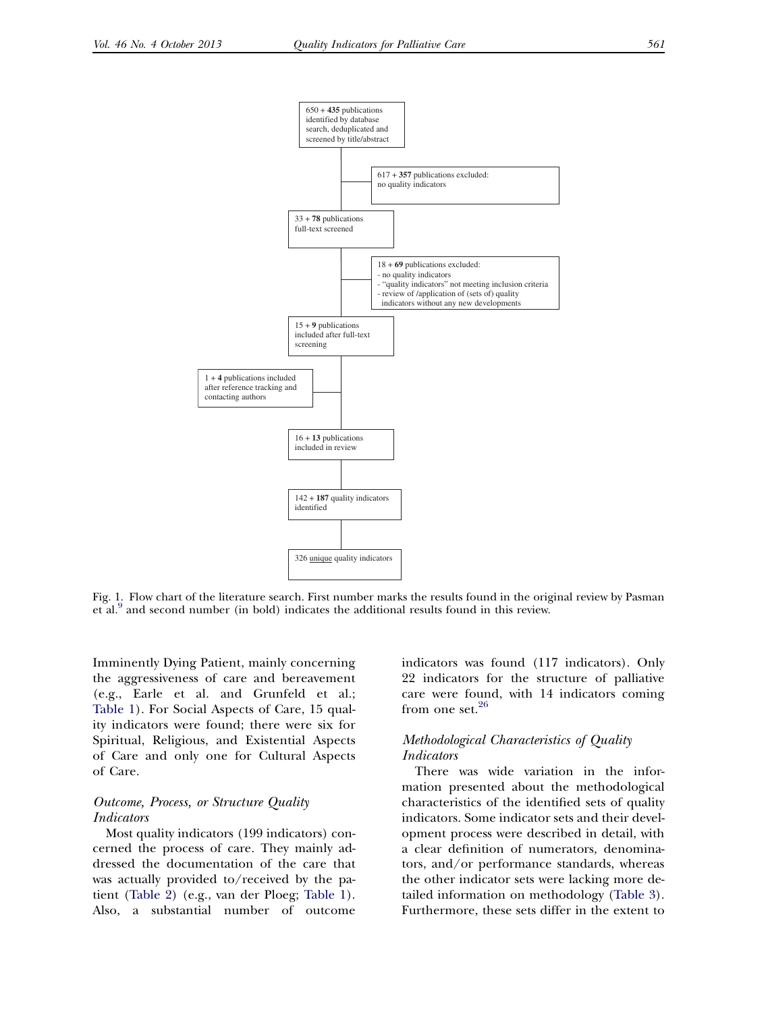<span id="page-5-0"></span>

Fig. 1. Flow chart of the literature search. First number marks the results found in the original review by Pasman et al.<sup>[9](#page-14-0)</sup> and second number (in bold) indicates the additional results found in this review.

Imminently Dying Patient, mainly concerning the aggressiveness of care and bereavement (e.g., Earle et al. and Grunfeld et al.; [Table 1\)](#page-6-0). For Social Aspects of Care, 15 quality indicators were found; there were six for Spiritual, Religious, and Existential Aspects of Care and only one for Cultural Aspects of Care.

#### Outcome, Process, or Structure Quality Indicators

Most quality indicators (199 indicators) concerned the process of care. They mainly addressed the documentation of the care that was actually provided to/received by the patient [\(Table 2\)](#page-11-0) (e.g., van der Ploeg; [Table 1\)](#page-6-0). Also, a substantial number of outcome

indicators was found (117 indicators). Only 22 indicators for the structure of palliative care were found, with 14 indicators coming from one set.<sup>[26](#page-15-0)</sup>

#### Methodological Characteristics of Quality Indicators

There was wide variation in the information presented about the methodological characteristics of the identified sets of quality indicators. Some indicator sets and their development process were described in detail, with a clear definition of numerators, denominators, and/or performance standards, whereas the other indicator sets were lacking more detailed information on methodology ([Table 3](#page-11-0)). Furthermore, these sets differ in the extent to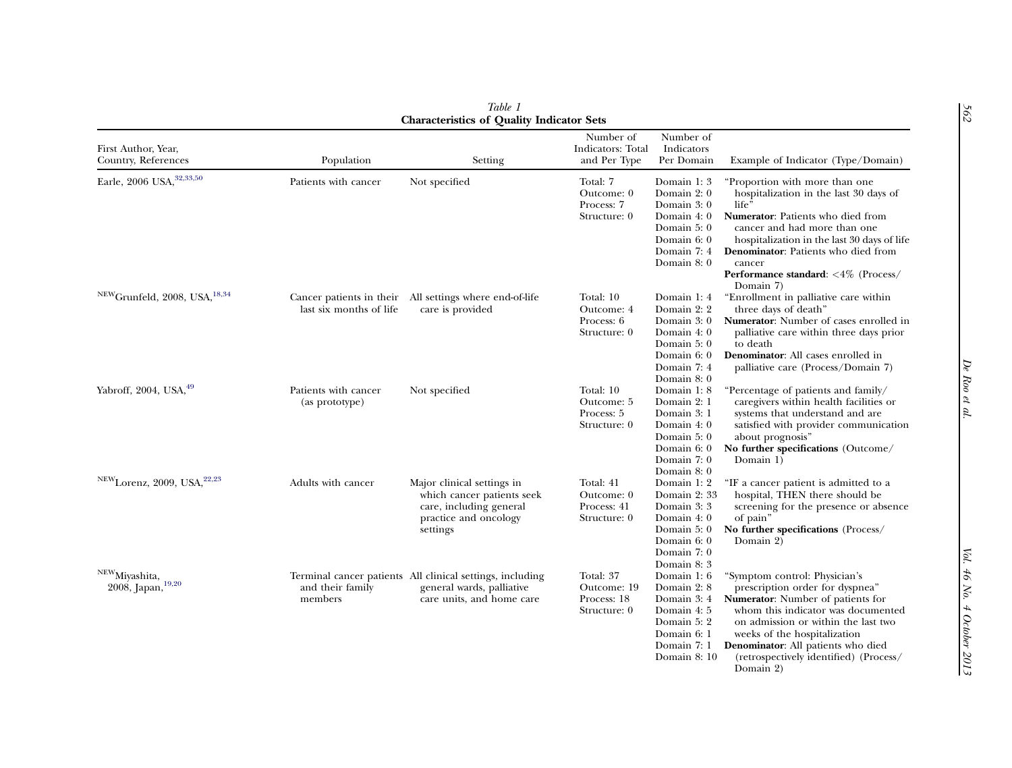<span id="page-6-0"></span>

| First Author, Year,<br>Country, References                         | Population                                          | Setting                                                                                                                  | Number of<br>Indicators: Total<br>and Per Type          | Number of<br>Indicators<br>Per Domain                                                                                               | Example of Indicator (Type/Domain)                                                                                                                                                                                                                                                                                     |
|--------------------------------------------------------------------|-----------------------------------------------------|--------------------------------------------------------------------------------------------------------------------------|---------------------------------------------------------|-------------------------------------------------------------------------------------------------------------------------------------|------------------------------------------------------------------------------------------------------------------------------------------------------------------------------------------------------------------------------------------------------------------------------------------------------------------------|
| Earle, 2006 $\mathbf{USA},^{32,33,50}$                             | Patients with cancer                                | Not specified                                                                                                            | Total: 7<br>Outcome: 0<br>Process: 7<br>Structure: 0    | Domain 1: 3<br>Domain 2: 0<br>Domain 3: 0<br>Domain 4: 0                                                                            | "Proportion with more than one<br>hospitalization in the last 30 days of<br>life"<br>Numerator: Patients who died from                                                                                                                                                                                                 |
|                                                                    |                                                     |                                                                                                                          |                                                         | Domain $5:0$<br>Domain 6: 0<br>Domain 7: 4<br>Domain 8: 0                                                                           | cancer and had more than one<br>hospitalization in the last 30 days of life<br><b>Denominator:</b> Patients who died from<br>cancer<br>Performance standard: <4% (Process/<br>Domain 7)                                                                                                                                |
| $NEW$ Grunfeld, 2008, USA, $18,34$                                 | Cancer patients in their<br>last six months of life | All settings where end-of-life<br>care is provided                                                                       | Total: 10<br>Outcome: 4                                 | Domain 1: 4<br>Domain 2: 2                                                                                                          | "Enrollment in palliative care within<br>three days of death"                                                                                                                                                                                                                                                          |
|                                                                    |                                                     |                                                                                                                          | Process: 6<br>Structure: 0                              | Domain 3:0<br>Domain 4: 0<br>Domain 5: 0<br>Domain $6:0$<br>Domain 7: 4                                                             | Numerator: Number of cases enrolled in<br>palliative care within three days prior<br>to death<br>Denominator: All cases enrolled in<br>palliative care (Process/Domain 7)                                                                                                                                              |
| Yabroff, 2004, USA, <sup>49</sup>                                  | Patients with cancer<br>(as prototype)              | Not specified                                                                                                            | Total: 10<br>Outcome: 5<br>Process: 5<br>Structure: 0   | Domain 8:0<br>Domain 1: 8<br>Domain 2: 1<br>Domain 3: 1<br>Domain 4: 0<br>Domain 5: 0<br>Domain $6:0$<br>Domain 7: 0                | "Percentage of patients and family/<br>caregivers within health facilities or<br>systems that understand and are<br>satisfied with provider communication<br>about prognosis"<br>No further specifications (Outcome/<br>Domain 1)                                                                                      |
| <sup>NEW</sup> Lorenz, 2009, USA, $22,23$                          | Adults with cancer                                  | Major clinical settings in<br>which cancer patients seek<br>care, including general<br>practice and oncology<br>settings | Total: 41<br>Outcome: 0<br>Process: 41<br>Structure: 0  | Domain 8:0<br>Domain 1: 2<br>Domain 2:33<br>Domain 3: 3<br>Domain 4: 0<br>Domain $5:0$<br>Domain 6: 0<br>Domain 7: 0<br>Domain 8: 3 | "IF a cancer patient is admitted to a<br>hospital, THEN there should be<br>screening for the presence or absence<br>of pain"<br>No further specifications (Process/<br>Domain 2)                                                                                                                                       |
| $^{\mathrm{NEW}}\!$ Miyashita,<br>$2008, \mathrm{Japan}, ^{19,20}$ | and their family<br>members                         | Terminal cancer patients All clinical settings, including<br>general wards, palliative<br>care units, and home care      | Total: 37<br>Outcome: 19<br>Process: 18<br>Structure: 0 | Domain 1: 6<br>Domain 2: 8<br>Domain 3: 4<br>Domain 4: 5<br>Domain 5: 2<br>Domain 6: 1<br>Domain 7: 1<br>Domain 8: 10               | "Symptom control: Physician's<br>prescription order for dyspnea"<br><b>Numerator:</b> Number of patients for<br>whom this indicator was documented<br>on admission or within the last two<br>weeks of the hospitalization<br>Denominator: All patients who died<br>(retrospectively identified) (Process/<br>Domain 2) |

Table 1 Characteristics of Quality Indicator Sets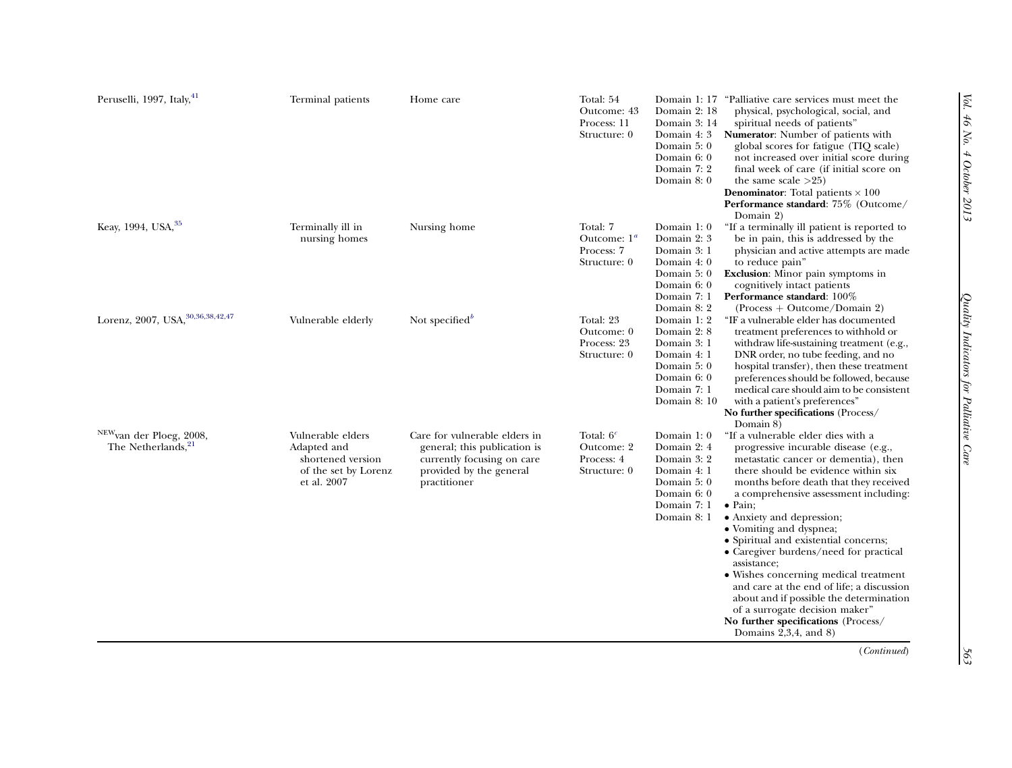| Peruselli, 1997, Italy, <sup>41</sup>                                | Terminal patients                                                                            | Home care                                                                                                                              | Total: 54<br>Outcome: 43<br>Process: 11<br>Structure: 0  | Domain 2: 18<br>Domain 3: 14<br>Domain 4: 3<br>Domain 5: 0<br>Domain 6: 0<br>Domain 7: 2<br>Domain 8:0                 | Domain 1: 17 "Palliative care services must meet the<br>physical, psychological, social, and<br>spiritual needs of patients"<br>Numerator: Number of patients with<br>global scores for fatigue (TIQ scale)<br>not increased over initial score during<br>final week of care (if initial score on<br>the same scale $>25$ )<br><b>Denominator:</b> Total patients $\times$ 100<br>Performance standard: 75% (Outcome/<br>Domain 2)                                                                                                                                                                                                                                 |
|----------------------------------------------------------------------|----------------------------------------------------------------------------------------------|----------------------------------------------------------------------------------------------------------------------------------------|----------------------------------------------------------|------------------------------------------------------------------------------------------------------------------------|--------------------------------------------------------------------------------------------------------------------------------------------------------------------------------------------------------------------------------------------------------------------------------------------------------------------------------------------------------------------------------------------------------------------------------------------------------------------------------------------------------------------------------------------------------------------------------------------------------------------------------------------------------------------|
| Keay, 1994, USA, $^{35}$                                             | Terminally ill in<br>nursing homes                                                           | Nursing home                                                                                                                           | Total: 7<br>Outcome: $1^a$<br>Process: 7<br>Structure: 0 | Domain $1:0$<br>Domain 2: 3<br>Domain 3: 1<br>Domain 4: 0<br>Domain $5:0$<br>Domain 6: 0<br>Domain 7: 1<br>Domain 8: 2 | "If a terminally ill patient is reported to<br>be in pain, this is addressed by the<br>physician and active attempts are made<br>to reduce pain"<br>Exclusion: Minor pain symptoms in<br>cognitively intact patients<br>Performance standard: 100%<br>$(Process + Outcome/Domain 2)$                                                                                                                                                                                                                                                                                                                                                                               |
| Lorenz, 2007, USA, 30, 36, 38, 42, 47                                | Vulnerable elderly                                                                           | Not specified <sup>b</sup>                                                                                                             | Total: 23<br>Outcome: 0<br>Process: 23<br>Structure: 0   | Domain 1: 2<br>Domain 2: 8<br>Domain 3: 1<br>Domain 4: 1<br>Domain 5: 0<br>Domain 6: 0<br>Domain 7: 1<br>Domain 8: 10  | "IF a vulnerable elder has documented<br>treatment preferences to withhold or<br>withdraw life-sustaining treatment (e.g.,<br>DNR order, no tube feeding, and no<br>hospital transfer), then these treatment<br>preferences should be followed, because<br>medical care should aim to be consistent<br>with a patient's preferences"<br>No further specifications (Process/<br>Domain 8)                                                                                                                                                                                                                                                                           |
| <sup>NEW</sup> van der Ploeg, 2008,<br>The Netherlands. <sup>2</sup> | Vulnerable elders<br>Adapted and<br>shortened version<br>of the set by Lorenz<br>et al. 2007 | Care for vulnerable elders in<br>general; this publication is<br>currently focusing on care<br>provided by the general<br>practitioner | Total: $6c$<br>Outcome: 2<br>Process: 4<br>Structure: 0  | Domain $1:0$<br>Domain 2: 4<br>Domain 3: 2<br>Domain 4: 1<br>Domain 5: 0<br>Domain 6: 0<br>Domain 7: 1<br>Domain 8: 1  | "If a vulnerable elder dies with a<br>progressive incurable disease (e.g.,<br>metastatic cancer or dementia), then<br>there should be evidence within six<br>months before death that they received<br>a comprehensive assessment including:<br>$\bullet$ Pain;<br>• Anxiety and depression;<br>• Vomiting and dyspnea;<br>• Spiritual and existential concerns;<br>• Caregiver burdens/need for practical<br>assistance;<br>• Wishes concerning medical treatment<br>and care at the end of life; a discussion<br>about and if possible the determination<br>of a surrogate decision maker"<br>No further specifications (Process/<br>Domains $2,3,4$ , and $8$ ) |

(Continued)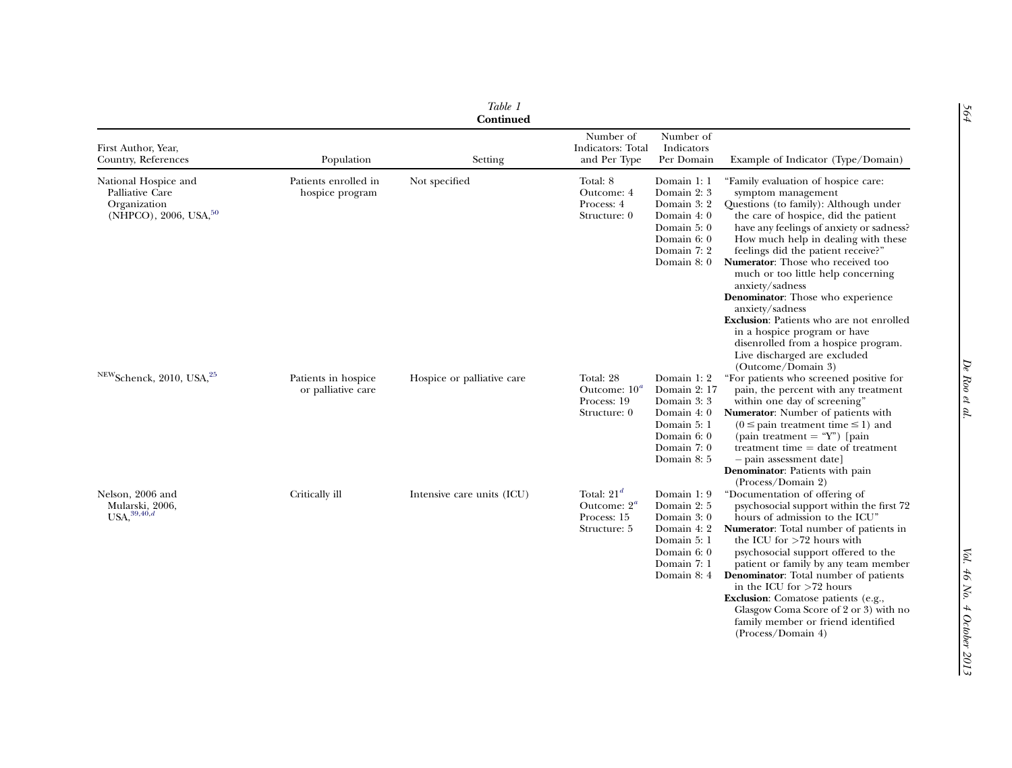|                                                                                        |                                           | Table 1<br>Continued       |                                                                |                                                                                                                        |                                                                                                                                                                                                                                                                                                                                                                                                                                                                                                                                                                                                    |
|----------------------------------------------------------------------------------------|-------------------------------------------|----------------------------|----------------------------------------------------------------|------------------------------------------------------------------------------------------------------------------------|----------------------------------------------------------------------------------------------------------------------------------------------------------------------------------------------------------------------------------------------------------------------------------------------------------------------------------------------------------------------------------------------------------------------------------------------------------------------------------------------------------------------------------------------------------------------------------------------------|
| First Author, Year,<br>Country, References                                             | Population                                | Setting                    | Number of<br>Indicators: Total<br>and Per Type                 | Number of<br>Indicators<br>Per Domain                                                                                  | Example of Indicator (Type/Domain)                                                                                                                                                                                                                                                                                                                                                                                                                                                                                                                                                                 |
| National Hospice and<br>Palliative Care<br>Organization<br>(NHPCO), 2006, USA, $^{50}$ | Patients enrolled in<br>hospice program   | Not specified              | Total: 8<br>Outcome: 4<br>Process: 4<br>Structure: 0           | Domain 1: 1<br>Domain 2: 3<br>Domain 3: 2<br>Domain 4: 0<br>Domain 5: 0<br>Domain $6:0$<br>Domain 7: 2<br>Domain 8:0   | "Family evaluation of hospice care:<br>symptom management<br>Questions (to family): Although under<br>the care of hospice, did the patient<br>have any feelings of anxiety or sadness?<br>How much help in dealing with these<br>feelings did the patient receive?"<br>Numerator: Those who received too<br>much or too little help concerning<br>anxiety/sadness<br>Denominator: Those who experience<br>anxiety/sadness<br>Exclusion: Patients who are not enrolled<br>in a hospice program or have<br>disenrolled from a hospice program.<br>Live discharged are excluded<br>(Outcome/Domain 3) |
| NEWSchenck, 2010, USA, <sup>25</sup>                                                   | Patients in hospice<br>or palliative care | Hospice or palliative care | Total: 28<br>Outcome: $10^a$<br>Process: 19<br>Structure: 0    | Domain 1: 2<br>Domain 2: 17<br>Domain 3: 3<br>Domain 4: 0<br>Domain 5: 1<br>Domain $6:0$<br>Domain 7: 0<br>Domain 8: 5 | "For patients who screened positive for<br>pain, the percent with any treatment<br>within one day of screening"<br>Numerator: Number of patients with<br>$(0 \leq$ pain treatment time $\leq$ 1) and<br>(pain treatment = " $Y$ ") [pain<br>treatment time $=$ date of treatment<br>- pain assessment date]<br><b>Denominator:</b> Patients with pain<br>(Process/Domain 2)                                                                                                                                                                                                                        |
| Nelson, 2006 and<br>Mularski, 2006,<br>$USA^{39,40,d}$                                 | Critically ill                            | Intensive care units (ICU) | Total: $21^d$<br>Outcome: $2^a$<br>Process: 15<br>Structure: 5 | Domain 1: 9<br>Domain 2: 5<br>Domain 3: 0<br>Domain 4: 2<br>Domain 5: 1<br>Domain 6: 0<br>Domain 7: 1<br>Domain 8: 4   | "Documentation of offering of<br>psychosocial support within the first 72<br>hours of admission to the ICU"<br>Numerator: Total number of patients in<br>the ICU for $>72$ hours with<br>psychosocial support offered to the<br>patient or family by any team member<br>Denominator: Total number of patients<br>in the ICU for $>72$ hours<br>Exclusion: Comatose patients (e.g.,<br>Glasgow Coma Score of 2 or 3) with no<br>family member or friend identified<br>(Process/Domain 4)                                                                                                            |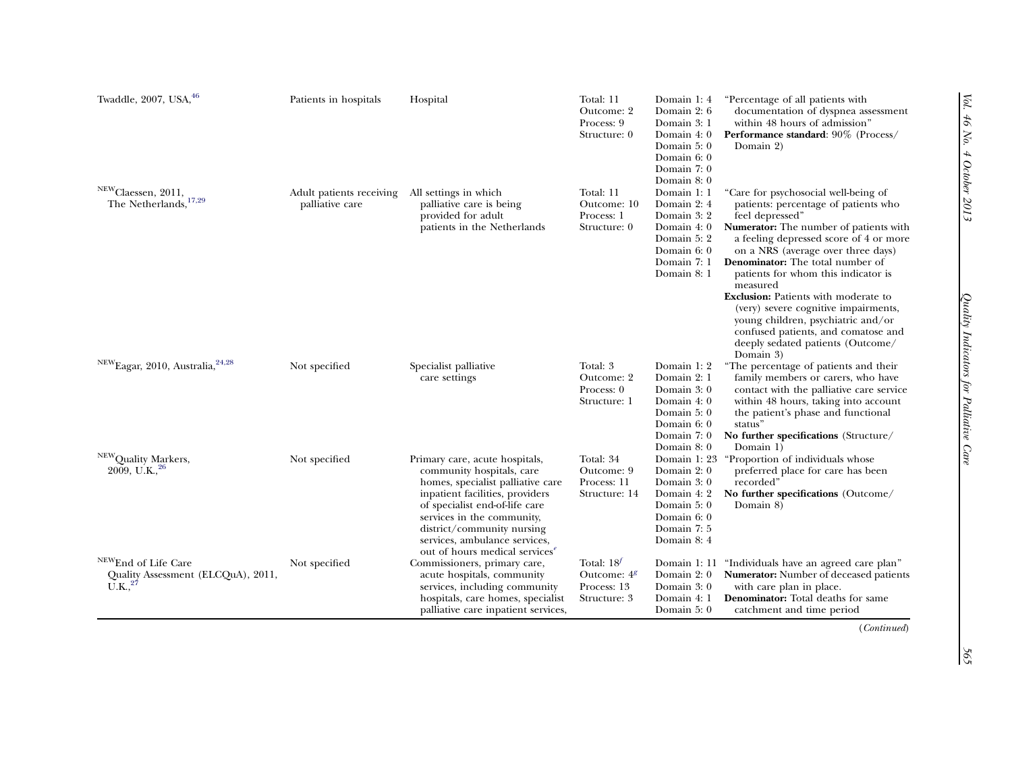| Twaddle, 2007, USA, <sup>46</sup>                                                | Patients in hospitals                       | Hospital                                                                                                                                                                                                                                                                                                 | Total: 11<br>Outcome: 2<br>Process: 9<br>Structure: 0        | Domain 1: 4<br>Domain 2: 6<br>Domain 3: 1<br>Domain 4: 0<br>Domain $5:0$<br>Domain $6:0$<br>Domain 7: 0<br>Domain 8:0  | "Percentage of all patients with<br>documentation of dyspnea assessment<br>within 48 hours of admission"<br>Performance standard: 90% (Process/<br>Domain 2)                                                                                                                                                                                                                                                                                                                                                                                  |
|----------------------------------------------------------------------------------|---------------------------------------------|----------------------------------------------------------------------------------------------------------------------------------------------------------------------------------------------------------------------------------------------------------------------------------------------------------|--------------------------------------------------------------|------------------------------------------------------------------------------------------------------------------------|-----------------------------------------------------------------------------------------------------------------------------------------------------------------------------------------------------------------------------------------------------------------------------------------------------------------------------------------------------------------------------------------------------------------------------------------------------------------------------------------------------------------------------------------------|
| $^{\mathrm{NEW}}$ Claessen, 2011,<br>The Netherlands, $17,29$                    | Adult patients receiving<br>palliative care | All settings in which<br>palliative care is being<br>provided for adult<br>patients in the Netherlands                                                                                                                                                                                                   | Total: 11<br>Outcome: 10<br>Process: 1<br>Structure: 0       | Domain 1: 1<br>Domain 2: 4<br>Domain 3: 2<br>Domain $4:0$<br>Domain 5: 2<br>Domain $6:0$<br>Domain 7: 1<br>Domain 8: 1 | "Care for psychosocial well-being of<br>patients: percentage of patients who<br>feel depressed"<br><b>Numerator:</b> The number of patients with<br>a feeling depressed score of 4 or more<br>on a NRS (average over three days)<br><b>Denominator:</b> The total number of<br>patients for whom this indicator is<br>measured<br>Exclusion: Patients with moderate to<br>(very) severe cognitive impairments,<br>young children, psychiatric and/or<br>confused patients, and comatose and<br>deeply sedated patients (Outcome/<br>Domain 3) |
| <sup>NEW</sup> Eagar, 2010, Australia, <sup>24,28</sup>                          | Not specified                               | Specialist palliative<br>care settings                                                                                                                                                                                                                                                                   | Total: 3<br>Outcome: 2<br>Process: 0<br>Structure: 1         | Domain $1:2$<br>Domain 2: 1<br>Domain 3:0<br>Domain 4: 0<br>Domain $5:0$<br>Domain 6: 0<br>Domain $7:0$<br>Domain 8:0  | "The percentage of patients and their<br>family members or carers, who have<br>contact with the palliative care service<br>within 48 hours, taking into account<br>the patient's phase and functional<br>status"<br>No further specifications (Structure/<br>Domain 1)                                                                                                                                                                                                                                                                        |
| NEW Quality Markers,<br>2009, U.K., <sup>26</sup>                                | Not specified                               | Primary care, acute hospitals,<br>community hospitals, care<br>homes, specialist palliative care<br>inpatient facilities, providers<br>of specialist end-of-life care<br>services in the community,<br>district/community nursing<br>services, ambulance services,<br>out of hours medical services $^e$ | Total: 34<br>Outcome: 9<br>Process: 11<br>Structure: 14      | Domain 1: 23<br>Domain $2:0$<br>Domain 3:0<br>Domain 4: 2<br>Domain 5: 0<br>Domain $6:0$<br>Domain 7: 5<br>Domain 8: 4 | "Proportion of individuals whose<br>preferred place for care has been<br>recorded"<br>No further specifications (Outcome/<br>Domain 8)                                                                                                                                                                                                                                                                                                                                                                                                        |
| NEWEnd of Life Care<br>Quality Assessment (ELCQuA), 2011,<br>U.K., <sup>27</sup> | Not specified                               | Commissioners, primary care,<br>acute hospitals, community<br>services, including community<br>hospitals, care homes, specialist<br>palliative care inpatient services,                                                                                                                                  | Total: $18f$<br>Outcome: $4g$<br>Process: 13<br>Structure: 3 | Domain 2: 0<br>Domain $3:0$<br>Domain 4: 1<br>Domain $5:0$                                                             | Domain 1: 11 "Individuals have an agreed care plan"<br>Numerator: Number of deceased patients<br>with care plan in place.<br>Denominator: Total deaths for same<br>catchment and time period                                                                                                                                                                                                                                                                                                                                                  |

 $\hbox{\small Vol.}$  46 No. 4 October 2013 Vol. 46 No. 4 October 2013

(Continued)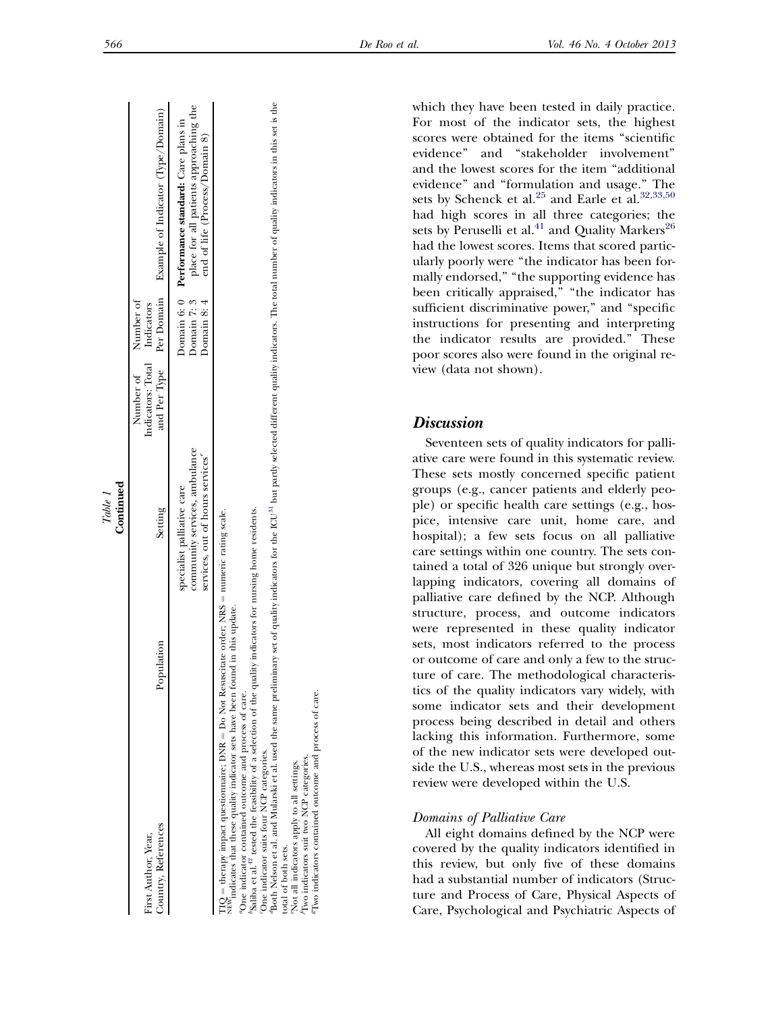<span id="page-10-0"></span>

|                                                                                                                                                                                                                                                                                                                                                                                                                          |            | Continued<br>Table 1                                                                            |                                                     |                            |                                                                                                                                                                                                                                   |
|--------------------------------------------------------------------------------------------------------------------------------------------------------------------------------------------------------------------------------------------------------------------------------------------------------------------------------------------------------------------------------------------------------------------------|------------|-------------------------------------------------------------------------------------------------|-----------------------------------------------------|----------------------------|-----------------------------------------------------------------------------------------------------------------------------------------------------------------------------------------------------------------------------------|
| Country, References<br>First Author, Year,                                                                                                                                                                                                                                                                                                                                                                               | Population | Setting                                                                                         | Number of Number of<br>Indicators: Total Indicators |                            | and Per Type Per Domain Example of Indicator (Type/Domain)                                                                                                                                                                        |
|                                                                                                                                                                                                                                                                                                                                                                                                                          |            | community services, ambulance<br>services, out of hours services"<br>specialist palliative care |                                                     | Domain 7: 3<br>Domain 8: 4 | place for all patients approaching the<br>Domain 6: 0 Performance standard: Care plans in<br>end of life (Process/Domain 8)                                                                                                       |
| Saliba et al. <sup>42</sup> tested the feasibility of a selection of the quality indicators for nursing home residents.<br>$\Box Q$ = therapy impact questionnaire; DNR = Do Not Resuscitate order; NRS = numeric rating scale.<br>NEW, indicates that these quality indicator sets have been found in this update.<br>'One indicator contained outcome and process of care.<br>One indicator suits four NCP categories. |            |                                                                                                 |                                                     |                            |                                                                                                                                                                                                                                   |
| total of both sets.                                                                                                                                                                                                                                                                                                                                                                                                      |            |                                                                                                 |                                                     |                            | "Both Nelson et al. and Mularski et al. used the same preliminary set of quality indicators for the ICU <sup>31</sup> but partly selected different quality indicators. The total number of quality indicators in this set is the |

Not all indicators apply to all settings. fTwo indicators suit two NCP categories.

Not all indicators apply to all settings.<br>Theo indicators suit two NCP categories.<br> ${}^E\!$  Two indicators contained outcome and

gTwo indicators contained outcome and process of care.

contained outcome and process of care.

For most of the indicator sets, the highest scores were obtained for the items ''scientific evidence'' and ''stakeholder involvement'' and the lowest scores for the item ''additional evidence'' and ''formulation and usage.'' The sets by Schenck et al.<sup>[25](#page-15-0)</sup> and Earle et al.<sup>[32,33,50](#page-15-0)</sup> had high scores in all three categories; the sets by Peruselli et al.<sup>41</sup> and Quality Markers<sup>[26](#page-15-0)</sup> had the lowest scores. Items that scored particularly poorly were ''the indicator has been formally endorsed," "the supporting evidence has been critically appraised," "the indicator has sufficient discriminative power," and "specific instructions for presenting and interpreting the indicator results are provided.'' These poor scores also were found in the original review (data not shown).

which they have been tested in daily practice.

## **Discussion**

Seventeen sets of quality indicators for palliative care were found in this systematic review. These sets mostly concerned specific patient groups (e.g., cancer patients and elderly people) or specific health care settings (e.g., hospice, intensive care unit, home care, and hospital); a few sets focus on all palliative care settings within one country. The sets contained a total of 326 unique but strongly overlapping indicators, covering all domains of palliative care defined by the NCP. Although structure, process, and outcome indicators were represented in these quality indicator sets, most indicators referred to the process or outcome of care and only a few to the structure of care. The methodological characteristics of the quality indicators vary widely, with some indicator sets and their development process being described in detail and others lacking this information. Furthermore, some of the new indicator sets were developed outside the U.S., whereas most sets in the previous review were developed within the U.S.

## Domains of Palliative Care

All eight domains defined by the NCP were covered by the quality indicators identified in this review, but only five of these domains had a substantial number of indicators (Structure and Process of Care, Physical Aspects of Care, Psychological and Psychiatric Aspects of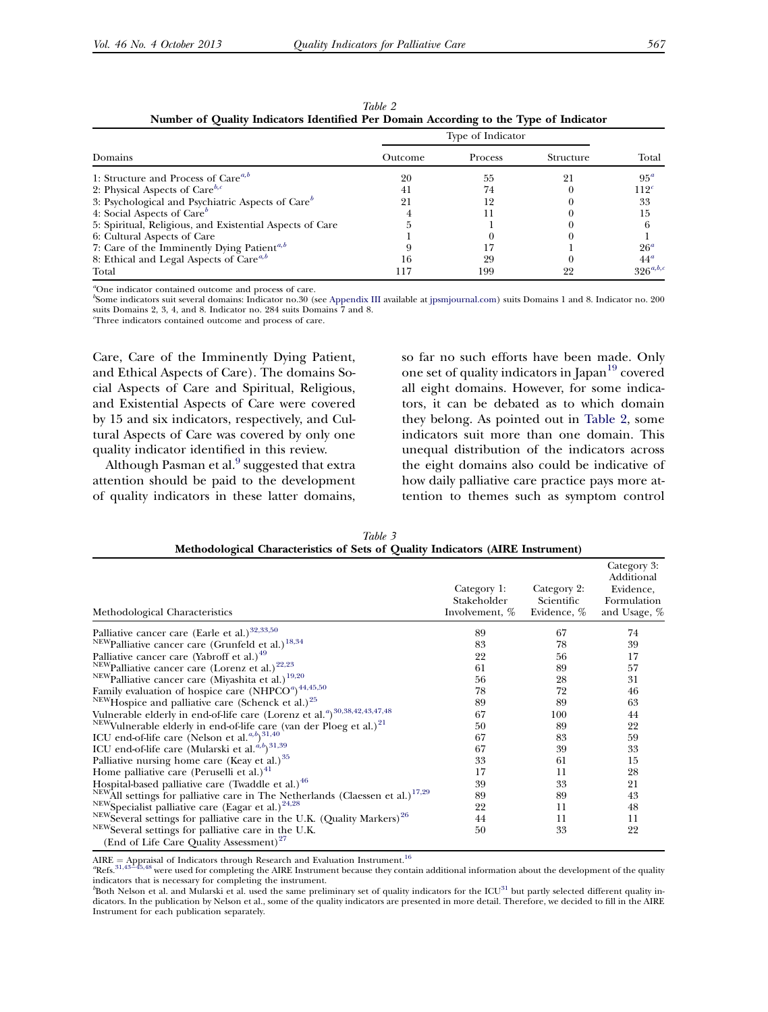<span id="page-11-0"></span>

|                                                               |         | Type of Indicator |           |                 |
|---------------------------------------------------------------|---------|-------------------|-----------|-----------------|
| Domains                                                       | Outcome | Process           | Structure | Total           |
| 1: Structure and Process of Care <sup><math>a,b</math></sup>  | 20      | 55                | 21        | 95 <sup>a</sup> |
| 2: Physical Aspects of Care <sup>b,c</sup>                    | 4 I     | 74                |           | $112^c$         |
| 3: Psychological and Psychiatric Aspects of Care <sup>b</sup> | 21      |                   |           | 33              |
| 4: Social Aspects of Care $\theta$                            |         |                   |           | 15              |
| 5: Spiritual, Religious, and Existential Aspects of Care      |         |                   |           |                 |
| 6: Cultural Aspects of Care                                   |         |                   |           |                 |
| 7: Care of the Imminently Dying Patient <sup><i>a,b</i></sup> |         |                   |           | 26 <sup>a</sup> |
| 8: Ethical and Legal Aspects of Care $a,b$                    | 16      | 29                |           | 44 <sup>a</sup> |
| Total                                                         | 117     | 199               | 22        | $326^{a,b,c}$   |

Table 2 Number of Quality Indicators Identified Per Domain According to the Type of Indicator

a One indicator contained outcome and process of care.

b Some indicators suit several domains: Indicator no.30 (see Appendix III available at [jpsmjournal.com](http://jpsmjournal.com)) suits Domains 1 and 8. Indicator no. 200 suits Domains 2, 3, 4, and 8. Indicator no. 284 suits Domains 7 and 8.

<sup>o</sup>Three indicators contained outcome and process of care.

Care, Care of the Imminently Dying Patient, and Ethical Aspects of Care). The domains Social Aspects of Care and Spiritual, Religious, and Existential Aspects of Care were covered by 15 and six indicators, respectively, and Cultural Aspects of Care was covered by only one quality indicator identified in this review.

Although Pasman et al.<sup>[9](#page-14-0)</sup> suggested that extra attention should be paid to the development of quality indicators in these latter domains, so far no such efforts have been made. Only one set of quality indicators in Japan<sup>[19](#page-15-0)</sup> covered all eight domains. However, for some indicators, it can be debated as to which domain they belong. As pointed out in Table 2, some indicators suit more than one domain. This unequal distribution of the indicators across the eight domains also could be indicative of how daily palliative care practice pays more attention to themes such as symptom control

Category 3:

| Table 3                                                                        |  |
|--------------------------------------------------------------------------------|--|
| Methodological Characteristics of Sets of Quality Indicators (AIRE Instrument) |  |

| Methodological Characteristics                                                                                                                                         | Category 1:<br>Stakeholder<br>Involvement, % | Category 2:<br>Scientific<br>Evidence, % | Additional<br>Evidence,<br>Formulation<br>and Usage, % |
|------------------------------------------------------------------------------------------------------------------------------------------------------------------------|----------------------------------------------|------------------------------------------|--------------------------------------------------------|
| Palliative cancer care (Earle et al.) <sup>32,33,50</sup>                                                                                                              | 89                                           | 67                                       | 74                                                     |
| NEW Palliative cancer care (Grunfeld et al.) <sup>18,34</sup>                                                                                                          | 83                                           | 78                                       | 39                                                     |
| Palliative cancer care (Yabroff et al.) <sup>49</sup>                                                                                                                  | 22                                           | 56                                       | 17                                                     |
| <sup>NEW</sup> Palliative cancer care (Lorenz et al.) <sup>22,23</sup>                                                                                                 | 61                                           | 89                                       | 57                                                     |
| <sup>NEW</sup> Palliative cancer care (Miyashita et al.) <sup>19,20</sup>                                                                                              | 56                                           | 28                                       | 31                                                     |
| Family evaluation of hospice care (NHPCO <sup><math>a</math>)44,45,50</sup>                                                                                            | 78                                           | 72                                       | 46                                                     |
| NEWHospice and palliative care (Schenck et al.) <sup>25</sup>                                                                                                          | 89                                           | 89                                       | 63                                                     |
| Vulnerable elderly in end-of-life care (Lorenz et al. <sup>a</sup> ) <sup>30,38,42,43,47,48</sup>                                                                      | 67                                           | 100                                      | 44                                                     |
| NEW Vulnerable elderly in end-of-life care (van der Ploeg et al.) <sup>21</sup>                                                                                        | 50                                           | 89                                       | 22                                                     |
| ICU end-of-life care (Nelson et al. <sup><i>a,b</i></sup> ) <sup>31,40</sup>                                                                                           | 67                                           | 83                                       | 59                                                     |
| ICU end-of-life care (Mularski et al. <sup>a,b</sup> ) <sup>31,39</sup>                                                                                                | 67                                           | 39                                       | 33                                                     |
| Palliative nursing home care (Keay et al.) <sup>35</sup>                                                                                                               | 33                                           | 61                                       | 15                                                     |
| Home palliative care (Peruselli et al.) $41$                                                                                                                           | 17                                           | 11                                       | 28                                                     |
| Hospital-based palliative care (Twaddle et al.) <sup>46</sup><br><sup>NEW</sup> All settings for palliative care in The Netherlands (Claessen et al.) <sup>17,29</sup> | 39                                           | 33                                       | 21                                                     |
|                                                                                                                                                                        | 89                                           | 89                                       | 43                                                     |
| NEW Specialist palliative care (Eagar et al.) <sup>24,28</sup>                                                                                                         | 22                                           | 11                                       | 48                                                     |
| NEWSeveral settings for palliative care in the U.K. (Quality Markers) <sup>26</sup>                                                                                    | 44                                           | 11                                       | 11                                                     |
| NEW Several settings for palliative care in the U.K.                                                                                                                   | 50                                           | 33                                       | 22                                                     |
| (End of Life Care Quality Assessment) <sup>27</sup>                                                                                                                    |                                              |                                          |                                                        |

AIRE = Appraisal of Indicators through Research and Evaluation Instrument.<sup>[16](#page-15-0)</sup><br>"Refs.<sup>[31,43](#page-15-0)–45,48</sup> were used for completing the AIRE Instrument because they contain additional information about the development of the quali indicators that is necessary for completing the instrument.

 $^b$ Both Nelson et al. and Mularski et al. used the same preliminary set of quality indicators for the ICU $^{\rm 31}$  $^{\rm 31}$  $^{\rm 31}$  but partly selected different quality indicators. In the publication by Nelson et al., some of the quality indicators are presented in more detail. Therefore, we decided to fill in the AIRE Instrument for each publication separately.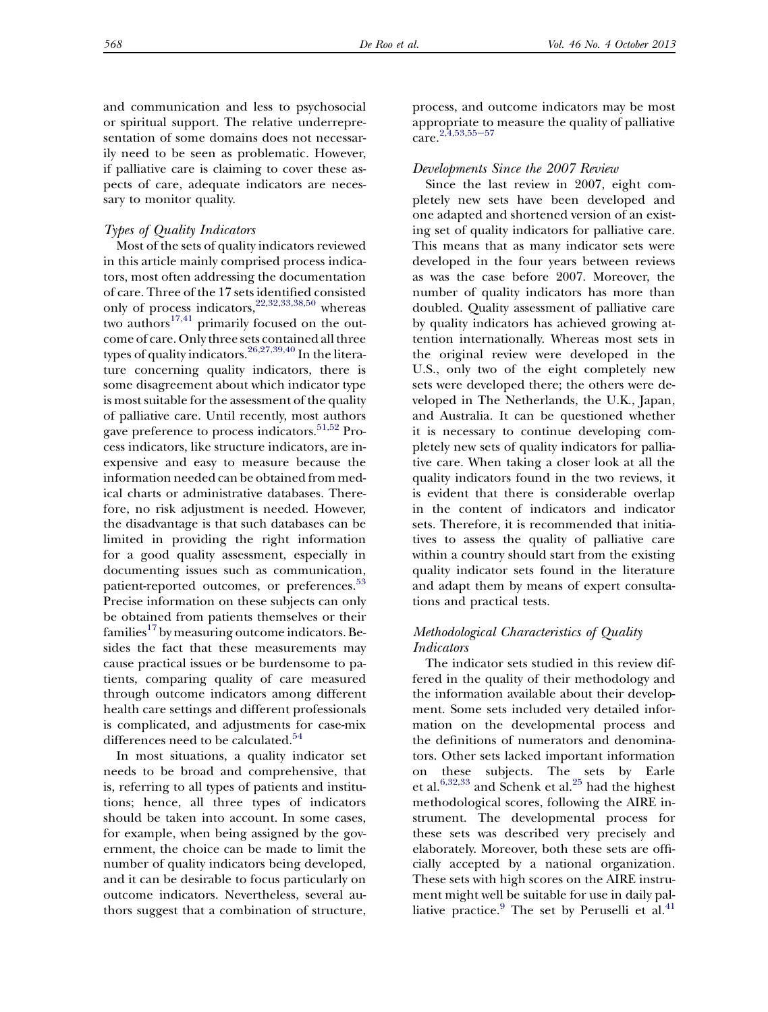and communication and less to psychosocial or spiritual support. The relative underrepresentation of some domains does not necessarily need to be seen as problematic. However, if palliative care is claiming to cover these aspects of care, adequate indicators are necessary to monitor quality.

#### Types of Quality Indicators

Most of the sets of quality indicators reviewed in this article mainly comprised process indicators, most often addressing the documentation of care. Three of the 17 sets identified consisted only of process indicators,<sup>[22,32,33,38,50](#page-15-0)</sup> whereas two authors $17,41$  primarily focused on the outcome of care. Only three sets contained all three types of quality indicators.[26,27,39,40](#page-15-0) In the literature concerning quality indicators, there is some disagreement about which indicator type is most suitable for the assessment of the quality of palliative care. Until recently, most authors gave preference to process indicators.<sup>[51,52](#page-16-0)</sup> Process indicators, like structure indicators, are inexpensive and easy to measure because the information needed can be obtained from medical charts or administrative databases. Therefore, no risk adjustment is needed. However, the disadvantage is that such databases can be limited in providing the right information for a good quality assessment, especially in documenting issues such as communication, patient-reported outcomes, or preferences.<sup>53</sup> Precise information on these subjects can only be obtained from patients themselves or their families $17$  by measuring outcome indicators. Besides the fact that these measurements may cause practical issues or be burdensome to patients, comparing quality of care measured through outcome indicators among different health care settings and different professionals is complicated, and adjustments for case-mix differences need to be calculated.<sup>[54](#page-16-0)</sup>

In most situations, a quality indicator set needs to be broad and comprehensive, that is, referring to all types of patients and institutions; hence, all three types of indicators should be taken into account. In some cases, for example, when being assigned by the government, the choice can be made to limit the number of quality indicators being developed, and it can be desirable to focus particularly on outcome indicators. Nevertheless, several authors suggest that a combination of structure,

process, and outcome indicators may be most appropriate to measure the quality of palliative  $care.<sup>2,4,53,55-57</sup>$  $care.<sup>2,4,53,55-57</sup>$  $care.<sup>2,4,53,55-57</sup>$ 

#### Developments Since the 2007 Review

Since the last review in 2007, eight completely new sets have been developed and one adapted and shortened version of an existing set of quality indicators for palliative care. This means that as many indicator sets were developed in the four years between reviews as was the case before 2007. Moreover, the number of quality indicators has more than doubled. Quality assessment of palliative care by quality indicators has achieved growing attention internationally. Whereas most sets in the original review were developed in the U.S., only two of the eight completely new sets were developed there; the others were developed in The Netherlands, the U.K., Japan, and Australia. It can be questioned whether it is necessary to continue developing completely new sets of quality indicators for palliative care. When taking a closer look at all the quality indicators found in the two reviews, it is evident that there is considerable overlap in the content of indicators and indicator sets. Therefore, it is recommended that initiatives to assess the quality of palliative care within a country should start from the existing quality indicator sets found in the literature and adapt them by means of expert consultations and practical tests.

## Methodological Characteristics of Quality Indicators

The indicator sets studied in this review differed in the quality of their methodology and the information available about their development. Some sets included very detailed information on the developmental process and the definitions of numerators and denominators. Other sets lacked important information on these subjects. The sets by Earle et al.<sup>[6,32,33](#page-14-0)</sup> and Schenk et al.<sup>[25](#page-15-0)</sup> had the highest methodological scores, following the AIRE instrument. The developmental process for these sets was described very precisely and elaborately. Moreover, both these sets are officially accepted by a national organization. These sets with high scores on the AIRE instrument might well be suitable for use in daily palliative practice. $9$  The set by Peruselli et al.<sup>[41](#page-15-0)</sup>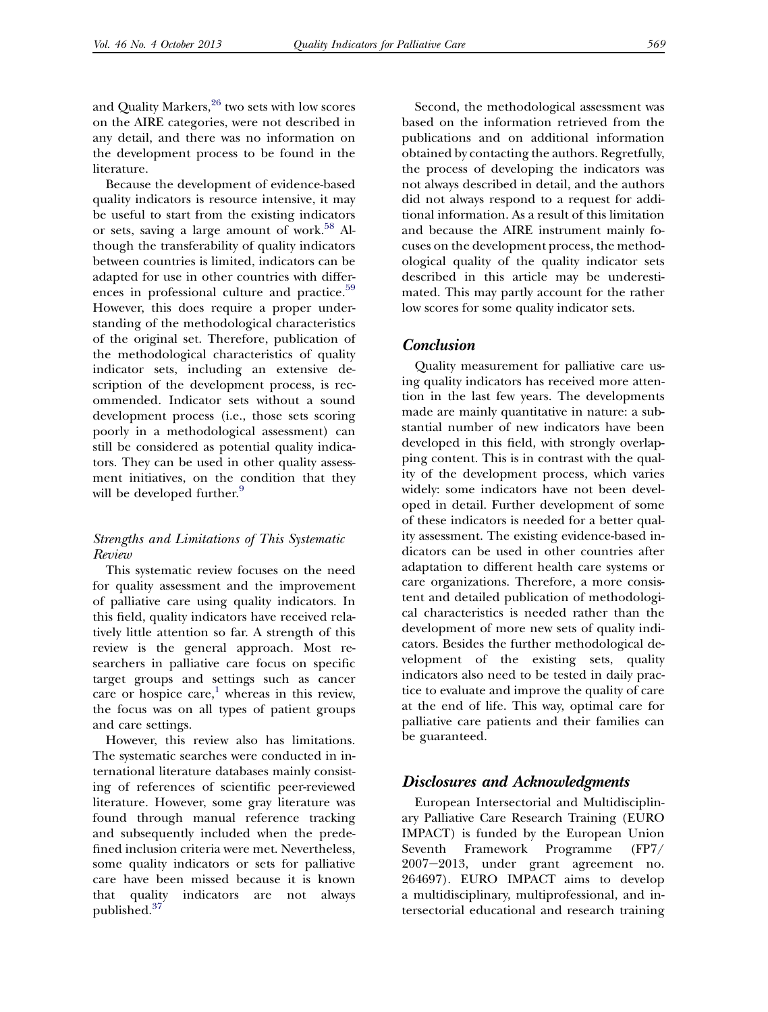and Quality Markers,<sup>[26](#page-15-0)</sup> two sets with low scores on the AIRE categories, were not described in any detail, and there was no information on the development process to be found in the literature.

Because the development of evidence-based quality indicators is resource intensive, it may be useful to start from the existing indicators or sets, saving a large amount of work.<sup>[58](#page-16-0)</sup> Although the transferability of quality indicators between countries is limited, indicators can be adapted for use in other countries with differ-ences in professional culture and practice.<sup>[59](#page-16-0)</sup> However, this does require a proper understanding of the methodological characteristics of the original set. Therefore, publication of the methodological characteristics of quality indicator sets, including an extensive description of the development process, is recommended. Indicator sets without a sound development process (i.e., those sets scoring poorly in a methodological assessment) can still be considered as potential quality indicators. They can be used in other quality assessment initiatives, on the condition that they will be developed further.<sup>[9](#page-14-0)</sup>

#### Strengths and Limitations of This Systematic Review

This systematic review focuses on the need for quality assessment and the improvement of palliative care using quality indicators. In this field, quality indicators have received relatively little attention so far. A strength of this review is the general approach. Most researchers in palliative care focus on specific target groups and settings such as cancer care or hospice care, $\frac{1}{1}$  $\frac{1}{1}$  $\frac{1}{1}$  whereas in this review, the focus was on all types of patient groups and care settings.

However, this review also has limitations. The systematic searches were conducted in international literature databases mainly consisting of references of scientific peer-reviewed literature. However, some gray literature was found through manual reference tracking and subsequently included when the predefined inclusion criteria were met. Nevertheless, some quality indicators or sets for palliative care have been missed because it is known that quality indicators are not always published.<sup>[37](#page-15-0)</sup>

Second, the methodological assessment was based on the information retrieved from the publications and on additional information obtained by contacting the authors. Regretfully, the process of developing the indicators was not always described in detail, and the authors did not always respond to a request for additional information. As a result of this limitation and because the AIRE instrument mainly focuses on the development process, the methodological quality of the quality indicator sets described in this article may be underestimated. This may partly account for the rather low scores for some quality indicator sets.

## **Conclusion**

Quality measurement for palliative care using quality indicators has received more attention in the last few years. The developments made are mainly quantitative in nature: a substantial number of new indicators have been developed in this field, with strongly overlapping content. This is in contrast with the quality of the development process, which varies widely: some indicators have not been developed in detail. Further development of some of these indicators is needed for a better quality assessment. The existing evidence-based indicators can be used in other countries after adaptation to different health care systems or care organizations. Therefore, a more consistent and detailed publication of methodological characteristics is needed rather than the development of more new sets of quality indicators. Besides the further methodological development of the existing sets, quality indicators also need to be tested in daily practice to evaluate and improve the quality of care at the end of life. This way, optimal care for palliative care patients and their families can be guaranteed.

## Disclosures and Acknowledgments

European Intersectorial and Multidisciplinary Palliative Care Research Training (EURO IMPACT) is funded by the European Union Seventh Framework Programme (FP7/ 2007-2013, under grant agreement no. 264697). EURO IMPACT aims to develop a multidisciplinary, multiprofessional, and intersectorial educational and research training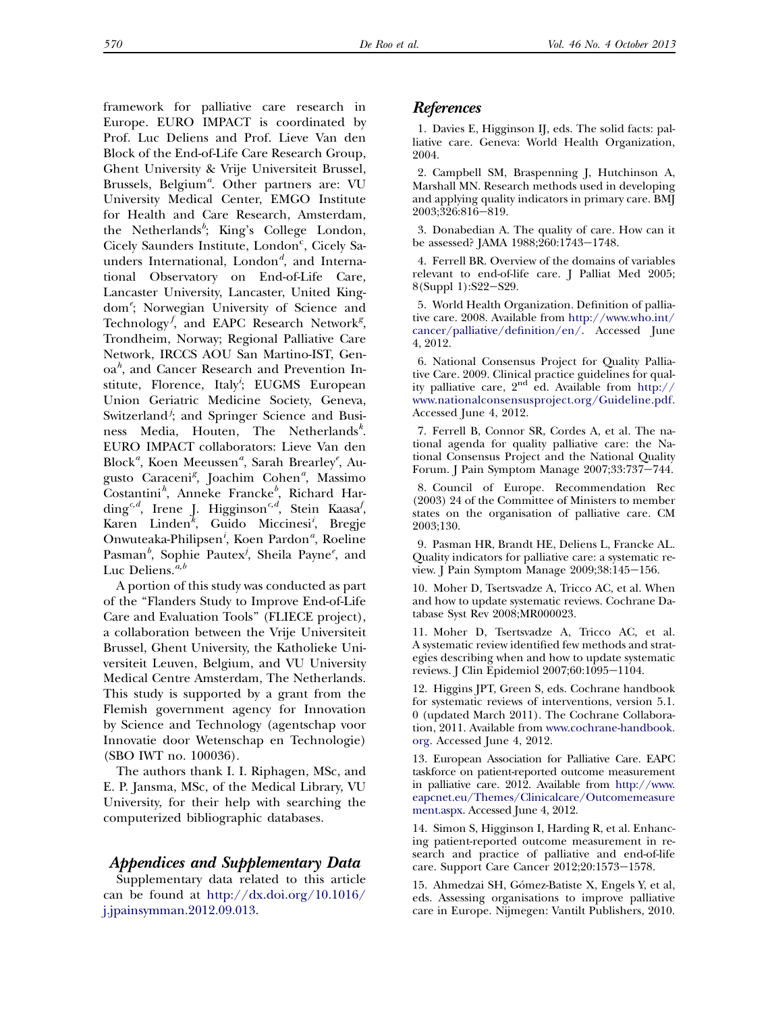<span id="page-14-0"></span>framework for palliative care research in Europe. EURO IMPACT is coordinated by Prof. Luc Deliens and Prof. Lieve Van den Block of the End-of-Life Care Research Group, Ghent University & Vrije Universiteit Brussel, Brussels, Belgium<sup>a</sup>. Other partners are: VU University Medical Center, EMGO Institute for Health and Care Research, Amsterdam, the Netherlands<sup>b</sup>; King's College London, Cicely Saunders Institute, London<sup>c</sup>, Cicely Saunders International, London<sup>d</sup>, and International Observatory on End-of-Life Care, Lancaster University, Lancaster, United Kingdom<sup>e</sup>; Norwegian University of Science and Technology<sup>f</sup>, and EAPC Research Network<sup>g</sup>, Trondheim, Norway; Regional Palliative Care Network, IRCCS AOU San Martino-IST, Genoa<sup>h</sup>, and Cancer Research and Prevention Institute, Florence, Italy<sup>i</sup>; EUGMS European Union Geriatric Medicine Society, Geneva, Switzerland<sup>j</sup>; and Springer Science and Business Media, Houten, The Netherlands<sup>k</sup>. EURO IMPACT collaborators: Lieve Van den Block<sup>a</sup>, Koen Meeussen<sup>a</sup>, Sarah Brearley<sup>e</sup>, Augusto Caraceni<sup>g</sup>, Joachim Cohen<sup>a</sup>, Massimo Costantini<sup>h</sup>, Anneke Francke<sup>b</sup>, Richard Har- $\dim \mathsf{g}^{c,d},$  Irene J. Higginson $^{c,d},$  Stein Kaasa $^f$ , Karen Linden<sup>k</sup>, Guido Miccinesi<sup>i</sup>, Bregje Onwuteaka-Philipsen<sup>i</sup>, Koen Pardon<sup>a</sup>, Roeline Pasman<sup>b</sup>, Sophie Pautex<sup>j</sup>, Sheila Payne<sup>e</sup>, and Luc Deliens. $a,b$ 

A portion of this study was conducted as part of the ''Flanders Study to Improve End-of-Life Care and Evaluation Tools'' (FLIECE project), a collaboration between the Vrije Universiteit Brussel, Ghent University, the Katholieke Universiteit Leuven, Belgium, and VU University Medical Centre Amsterdam, The Netherlands. This study is supported by a grant from the Flemish government agency for Innovation by Science and Technology (agentschap voor Innovatie door Wetenschap en Technologie) (SBO IWT no. 100036).

The authors thank I. I. Riphagen, MSc, and E. P. Jansma, MSc, of the Medical Library, VU University, for their help with searching the computerized bibliographic databases.

# Appendices and Supplementary Data

Supplementary data related to this article can be found at [http://dx.doi.org/10.1016/](http://dx.doi.org/10.1016/j.jpainsymman.2012.09.013) [j.jpainsymman.2012.09.013.](http://dx.doi.org/10.1016/j.jpainsymman.2012.09.013)

## References

1. Davies E, Higginson IJ, eds. The solid facts: palliative care. Geneva: World Health Organization, 2004.

2. Campbell SM, Braspenning J, Hutchinson A, Marshall MN. Research methods used in developing and applying quality indicators in primary care. BMJ 2003;326:816-819.

3. Donabedian A. The quality of care. How can it be assessed? JAMA 1988;260:1743-1748.

4. Ferrell BR. Overview of the domains of variables relevant to end-of-life care. J Palliat Med 2005; 8(Suppl 1):S22-S29.

5. World Health Organization. Definition of palliative care. 2008. Available from [http://www.who.int/](http://www.who.int/cancer/palliative/definition/en/) [cancer/palliative/definition/en/.](http://www.who.int/cancer/palliative/definition/en/) Accessed June 4, 2012.

6. National Consensus Project for Quality Palliative Care. 2009. Clinical practice guidelines for qual-<br>ity palliative care, 2<sup>nd</sup> ed. Available from [http://](http://www.nationalconsensusproject.org/Guideline.pdf) [www.nationalconsensusproject.org/Guideline.pdf.](http://www.nationalconsensusproject.org/Guideline.pdf) Accessed June 4, 2012.

7. Ferrell B, Connor SR, Cordes A, et al. The national agenda for quality palliative care: the National Consensus Project and the National Quality Forum. J Pain Symptom Manage 2007;33:737-744.

8. Council of Europe. Recommendation Rec (2003) 24 of the Committee of Ministers to member states on the organisation of palliative care. CM 2003;130.

9. Pasman HR, Brandt HE, Deliens L, Francke AL. Quality indicators for palliative care: a systematic review. J Pain Symptom Manage 2009;38:145-156.

10. Moher D, Tsertsvadze A, Tricco AC, et al. When and how to update systematic reviews. Cochrane Database Syst Rev 2008;MR000023.

11. Moher D, Tsertsvadze A, Tricco AC, et al. A systematic review identified few methods and strategies describing when and how to update systematic reviews. J Clin Epidemiol  $2007;60:1095-1104$ .

12. Higgins JPT, Green S, eds. Cochrane handbook for systematic reviews of interventions, version 5.1. 0 (updated March 2011). The Cochrane Collaboration, 2011. Available from [www.cochrane-handbook.](http://www.cochrane-handbook.org) [org](http://www.cochrane-handbook.org). Accessed June 4, 2012.

13. European Association for Palliative Care. EAPC taskforce on patient-reported outcome measurement in palliative care. 2012. Available from [http://www.](http://www.eapcnet.eu/Themes/Clinicalcare/Outcomemeasurement.aspx) [eapcnet.eu/Themes/Clinicalcare/Outcomemeasure](http://www.eapcnet.eu/Themes/Clinicalcare/Outcomemeasurement.aspx) [ment.aspx.](http://www.eapcnet.eu/Themes/Clinicalcare/Outcomemeasurement.aspx) Accessed June 4, 2012.

14. Simon S, Higginson I, Harding R, et al. Enhancing patient-reported outcome measurement in research and practice of palliative and end-of-life care. Support Care Cancer 2012;20:1573-1578.

15. Ahmedzai SH, Gomez-Batiste X, Engels Y, et al, eds. Assessing organisations to improve palliative care in Europe. Nijmegen: Vantilt Publishers, 2010.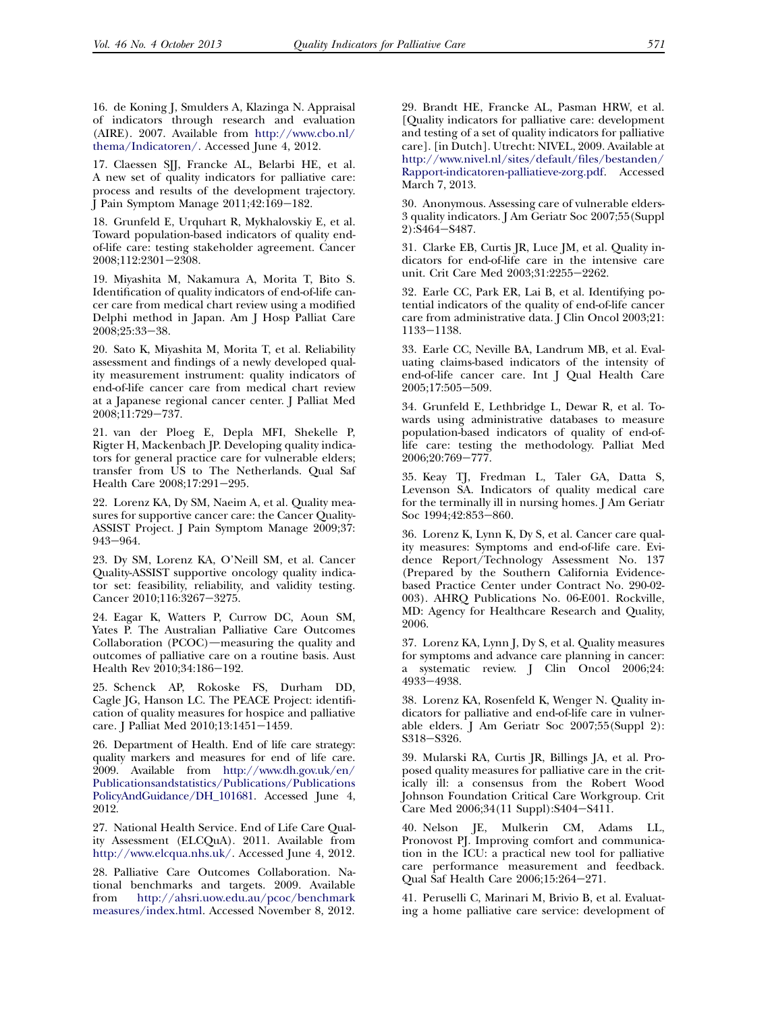<span id="page-15-0"></span>16. de Koning J, Smulders A, Klazinga N. Appraisal of indicators through research and evaluation (AIRE). 2007. Available from [http://www.cbo.nl/](http://www.cbo.nl/thema/Indicatoren/) [thema/Indicatoren/](http://www.cbo.nl/thema/Indicatoren/). Accessed June 4, 2012.

17. Claessen SJJ, Francke AL, Belarbi HE, et al. A new set of quality indicators for palliative care: process and results of the development trajectory. J Pain Symptom Manage 2011;42:169-182.

18. Grunfeld E, Urquhart R, Mykhalovskiy E, et al. Toward population-based indicators of quality endof-life care: testing stakeholder agreement. Cancer 2008;112:2301-2308.

19. Miyashita M, Nakamura A, Morita T, Bito S. Identification of quality indicators of end-of-life cancer care from medical chart review using a modified Delphi method in Japan. Am J Hosp Palliat Care 2008;25:33-38.

20. Sato K, Miyashita M, Morita T, et al. Reliability assessment and findings of a newly developed quality measurement instrument: quality indicators of end-of-life cancer care from medical chart review at a Japanese regional cancer center. J Palliat Med 2008;11:729-737.

21. van der Ploeg E, Depla MFI, Shekelle P, Rigter H, Mackenbach JP. Developing quality indicators for general practice care for vulnerable elders; transfer from US to The Netherlands. Qual Saf Health Care 2008;17:291-295.

22. Lorenz KA, Dy SM, Naeim A, et al. Quality measures for supportive cancer care: the Cancer Quality-ASSIST Project. J Pain Symptom Manage 2009;37: 943-964.

23. Dy SM, Lorenz KA, O'Neill SM, et al. Cancer Quality-ASSIST supportive oncology quality indicator set: feasibility, reliability, and validity testing. Cancer 2010;116:3267-3275.

24. Eagar K, Watters P, Currow DC, Aoun SM, Yates P. The Australian Palliative Care Outcomes Collaboration  $(PCOC)$ —measuring the quality and outcomes of palliative care on a routine basis. Aust Health Rev 2010;34:186-192.

25. Schenck AP, Rokoske FS, Durham DD, Cagle JG, Hanson LC. The PEACE Project: identification of quality measures for hospice and palliative care. J Palliat Med 2010;13:1451-1459.

26. Department of Health. End of life care strategy: quality markers and measures for end of life care. 2009. Available from [http://www.dh.gov.uk/en/](http://www.dh.gov.uk/en/Publicationsandstatistics/Publications/PublicationsPolicyAndGuidance/DH_101681) [Publicationsandstatistics/Publications/Publications](http://www.dh.gov.uk/en/Publicationsandstatistics/Publications/PublicationsPolicyAndGuidance/DH_101681) [PolicyAndGuidance/DH\\_101681](http://www.dh.gov.uk/en/Publicationsandstatistics/Publications/PublicationsPolicyAndGuidance/DH_101681). Accessed June 4, 2012.

27. National Health Service. End of Life Care Quality Assessment (ELCQuA). 2011. Available from <http://www.elcqua.nhs.uk/>. Accessed June 4, 2012.

28. Palliative Care Outcomes Collaboration. National benchmarks and targets. 2009. Available from [http://ahsri.uow.edu.au/pcoc/benchmark](http://ahsri.uow.edu.au/pcoc/benchmarkmeasures/index.html) [measures/index.html.](http://ahsri.uow.edu.au/pcoc/benchmarkmeasures/index.html) Accessed November 8, 2012.

29. Brandt HE, Francke AL, Pasman HRW, et al. [Quality indicators for palliative care: development and testing of a set of quality indicators for palliative care]. [in Dutch]. Utrecht: NIVEL, 2009. Available at [http://www.nivel.nl/sites/default/files/bestanden/](http://www.nivel.nl/sites/default/files/bestanden/Rapport-indicatoren-palliatieve-zorg.pdf) [Rapport-indicatoren-palliatieve-zorg.pdf](http://www.nivel.nl/sites/default/files/bestanden/Rapport-indicatoren-palliatieve-zorg.pdf). Accessed March 7, 2013.

30. Anonymous. Assessing care of vulnerable elders-3 quality indicators. J Am Geriatr Soc 2007;55(Suppl  $2)$ :S464-S487.

31. Clarke EB, Curtis JR, Luce JM, et al. Quality indicators for end-of-life care in the intensive care unit. Crit Care Med 2003;31:2255-2262.

32. Earle CC, Park ER, Lai B, et al. Identifying potential indicators of the quality of end-of-life cancer care from administrative data. J Clin Oncol 2003;21: 1133-1138.

33. Earle CC, Neville BA, Landrum MB, et al. Evaluating claims-based indicators of the intensity of end-of-life cancer care. Int J Qual Health Care 2005;17:505-509.

34. Grunfeld E, Lethbridge L, Dewar R, et al. Towards using administrative databases to measure population-based indicators of quality of end-oflife care: testing the methodology. Palliat Med 2006;20:769-777.

35. Keay TJ, Fredman L, Taler GA, Datta S, Levenson SA. Indicators of quality medical care for the terminally ill in nursing homes. J Am Geriatr Soc 1994;42:853-860.

36. Lorenz K, Lynn K, Dy S, et al. Cancer care quality measures: Symptoms and end-of-life care. Evidence Report/Technology Assessment No. 137 (Prepared by the Southern California Evidencebased Practice Center under Contract No. 290-02- 003). AHRQ Publications No. 06-E001. Rockville, MD: Agency for Healthcare Research and Quality, 2006.

37. Lorenz KA, Lynn J, Dy S, et al. Quality measures for symptoms and advance care planning in cancer: a systematic review. J Clin Oncol 2006;24: 4933e4938.

38. Lorenz KA, Rosenfeld K, Wenger N. Quality indicators for palliative and end-of-life care in vulnerable elders. J Am Geriatr Soc 2007;55(Suppl 2): S318-S326.

39. Mularski RA, Curtis JR, Billings JA, et al. Proposed quality measures for palliative care in the critically ill: a consensus from the Robert Wood Johnson Foundation Critical Care Workgroup. Crit Care Med 2006;34(11 Suppl):S404-S411.

40. Nelson JE, Mulkerin CM, Adams LL, Pronovost PJ. Improving comfort and communication in the ICU: a practical new tool for palliative care performance measurement and feedback. Qual Saf Health Care 2006;15:264-271.

41. Peruselli C, Marinari M, Brivio B, et al. Evaluating a home palliative care service: development of